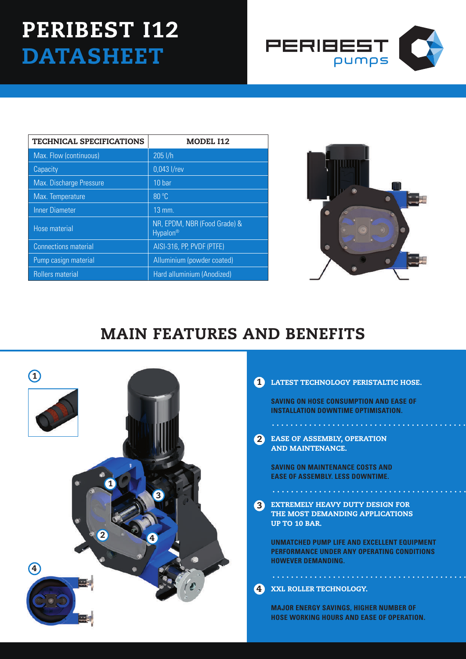# PERIBEST I12 **DATASHEET**



| <b>TECHNICAL SPECIFICATIONS</b> | <b>MODEL I12</b>                                     |
|---------------------------------|------------------------------------------------------|
| Max. Flow (continuous)          | 205 l/h                                              |
| Capacity                        | 0,043 l/rev                                          |
| <b>Max. Discharge Pressure</b>  | 10 bar                                               |
| Max. Temperature                | 80 °C                                                |
| <b>Inner Diameter</b>           | 13 mm.                                               |
| Hose material                   | NR, EPDM, NBR (Food Grade) &<br>Hypalon <sup>®</sup> |
| <b>Connections material</b>     | AISI-316, PP, PVDF (PTFE)                            |
| Pump casign material            | Alluminium (powder coated)                           |
| <b>Rollers material</b>         | Hard alluminium (Anodized)                           |



## MAIN FEATURES AND BENEFITS



## 1 LATEST TECHNOLOGY PERISTALTIC HOSE.

**SAVING ON HOSE CONSUMPTION AND EASE OF INSTALLATION DOWNTIME OPTIMISATION.**

2 EASE OF ASSEMBLY, OPE AND MAINTENANCE.

**SAVING ON MAINTENANCE COSTS AND EASE OF ASSEMBLY. LESS DOWNTIME.**

EXTREMELY HEAVY DUTY DESIGN FOR THE MOST DEMANDING APPLICATIONS UP TO 10 BAR. 3

. . . . . . . . . . . . . . . . . .

**UNMATCHED PUMP LIFE AND EXCELLENT EQUIPMENT PERFORMANCE UNDER ANY OPERATING CONDITIONS HOWEVER DEMANDING.**

#### XXL ROLLER TECHNOLOGY. 4

**MAJOR ENERGY SAVINGS, HIGHER NUMBER OF HOSE WORKING HOURS AND EASE OF OPERATION.**